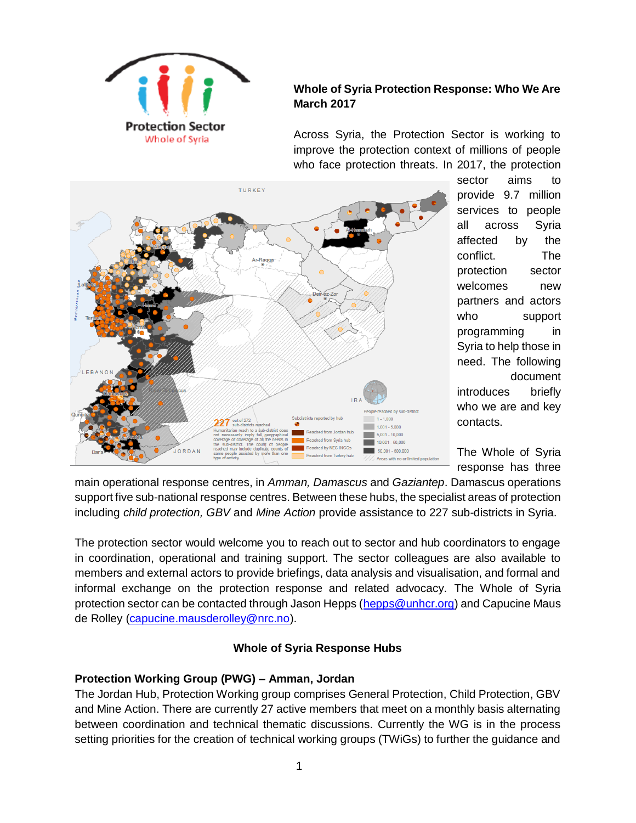

# **Whole of Syria Protection Response: Who We Are March 2017**

Across Syria, the Protection Sector is working to improve the protection context of millions of people who face protection threats. In 2017, the protection



sector aims to provide 9.7 million services to people all across Syria affected by the conflict. The protection sector welcomes new partners and actors who support programming in Syria to help those in need. The following document introduces briefly who we are and key contacts.

The Whole of Syria response has three

main operational response centres, in *Amman, Damascus* and *Gaziantep*. Damascus operations support five sub-national response centres. Between these hubs, the specialist areas of protection including *child protection, GBV* and *Mine Action* provide assistance to 227 sub-districts in Syria.

The protection sector would welcome you to reach out to sector and hub coordinators to engage in coordination, operational and training support. The sector colleagues are also available to members and external actors to provide briefings, data analysis and visualisation, and formal and informal exchange on the protection response and related advocacy. The Whole of Syria protection sector can be contacted through Jason Hepps [\(hepps@unhcr.org\)](mailto:hepps@unhcr.org) and Capucine Maus de Rolley [\(capucine.mausderolley@nrc.no\)](mailto:capucine.mausderolley@nrc.no).

## **Whole of Syria Response Hubs**

## **Protection Working Group (PWG) – Amman, Jordan**

The Jordan Hub, Protection Working group comprises General Protection, Child Protection, GBV and Mine Action. There are currently 27 active members that meet on a monthly basis alternating between coordination and technical thematic discussions. Currently the WG is in the process setting priorities for the creation of technical working groups (TWiGs) to further the guidance and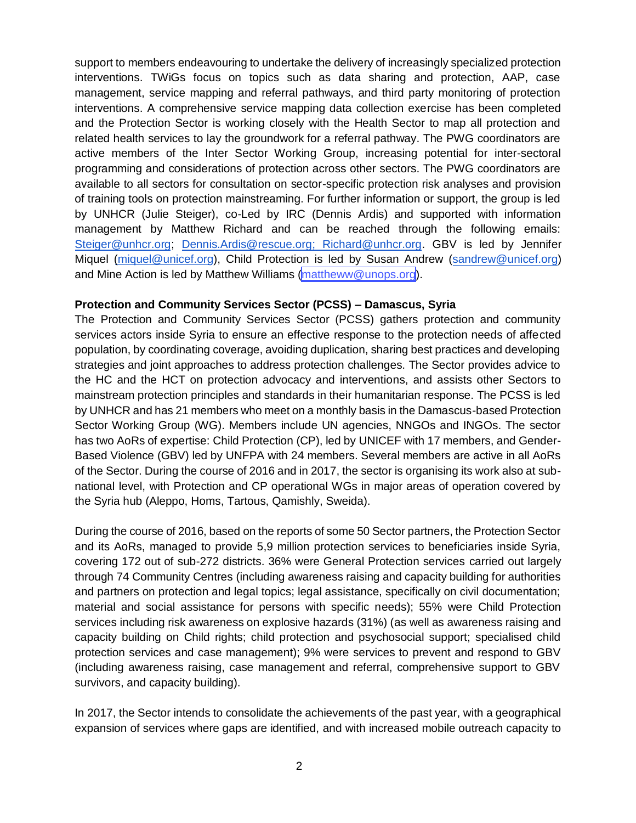support to members endeavouring to undertake the delivery of increasingly specialized protection interventions. TWiGs focus on topics such as data sharing and protection, AAP, case management, service mapping and referral pathways, and third party monitoring of protection interventions. A comprehensive service mapping data collection exercise has been completed and the Protection Sector is working closely with the Health Sector to map all protection and related health services to lay the groundwork for a referral pathway. The PWG coordinators are active members of the Inter Sector Working Group, increasing potential for inter-sectoral programming and considerations of protection across other sectors. The PWG coordinators are available to all sectors for consultation on sector-specific protection risk analyses and provision of training tools on protection mainstreaming. For further information or support, the group is led by UNHCR (Julie Steiger), co-Led by IRC (Dennis Ardis) and supported with information management by Matthew Richard and can be reached through the following emails: [Steiger@unhcr.org;](https://mail.nrc.no/owa/redir.aspx?C=_OLIfIPtEeTargRWX5suQ5xybuC6fLoJF3BbePoaJa-eyFxicZ7TCA..&URL=mailto%3aSteiger%40unhcr.org) [Dennis.Ardis@rescue.org;](mailto:Jacqueline.Parry@rescue.org) Richard@unhcr.org. GBV is led by Jennifer Miquel [\(miquel@unicef.org\)](mailto:ekimani@unicef.org), Child Protection is led by Susan Andrew [\(sandrew@unicef.org\)](mailto:sandrew@unicef.org)  and Mine Action is led by Matthew Williams [\(mattheww@unops.org](mailto:mattheww@unops.org)).

#### **Protection and Community Services Sector (PCSS) – Damascus, Syria**

The Protection and Community Services Sector (PCSS) gathers protection and community services actors inside Syria to ensure an effective response to the protection needs of affected population, by coordinating coverage, avoiding duplication, sharing best practices and developing strategies and joint approaches to address protection challenges. The Sector provides advice to the HC and the HCT on protection advocacy and interventions, and assists other Sectors to mainstream protection principles and standards in their humanitarian response. The PCSS is led by UNHCR and has 21 members who meet on a monthly basis in the Damascus-based Protection Sector Working Group (WG). Members include UN agencies, NNGOs and INGOs. The sector has two AoRs of expertise: Child Protection (CP), led by UNICEF with 17 members, and Gender-Based Violence (GBV) led by UNFPA with 24 members. Several members are active in all AoRs of the Sector. During the course of 2016 and in 2017, the sector is organising its work also at subnational level, with Protection and CP operational WGs in major areas of operation covered by the Syria hub (Aleppo, Homs, Tartous, Qamishly, Sweida).

During the course of 2016, based on the reports of some 50 Sector partners, the Protection Sector and its AoRs, managed to provide 5,9 million protection services to beneficiaries inside Syria, covering 172 out of sub-272 districts. 36% were General Protection services carried out largely through 74 Community Centres (including awareness raising and capacity building for authorities and partners on protection and legal topics; legal assistance, specifically on civil documentation; material and social assistance for persons with specific needs); 55% were Child Protection services including risk awareness on explosive hazards (31%) (as well as awareness raising and capacity building on Child rights; child protection and psychosocial support; specialised child protection services and case management); 9% were services to prevent and respond to GBV (including awareness raising, case management and referral, comprehensive support to GBV survivors, and capacity building).

In 2017, the Sector intends to consolidate the achievements of the past year, with a geographical expansion of services where gaps are identified, and with increased mobile outreach capacity to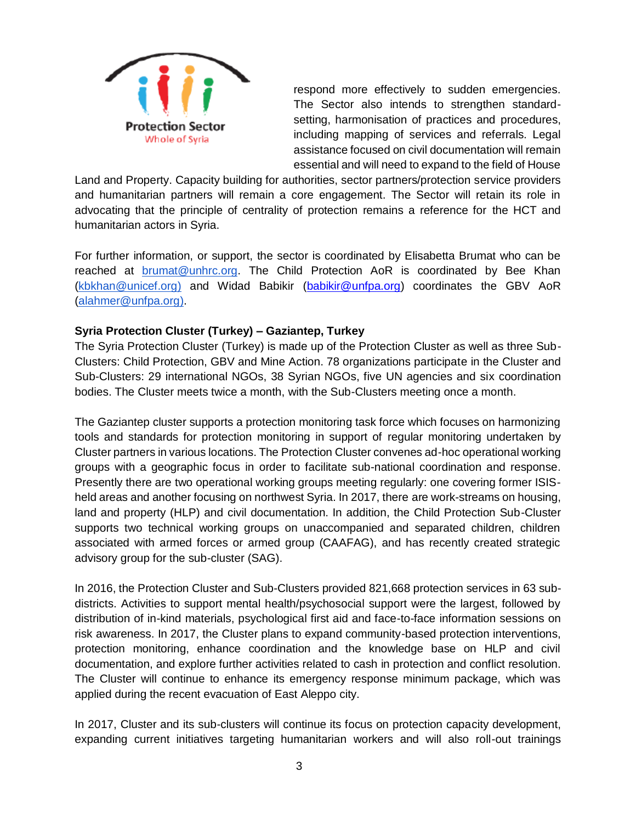

respond more effectively to sudden emergencies. The Sector also intends to strengthen standardsetting, harmonisation of practices and procedures, including mapping of services and referrals. Legal assistance focused on civil documentation will remain essential and will need to expand to the field of House

Land and Property. Capacity building for authorities, sector partners/protection service providers and humanitarian partners will remain a core engagement. The Sector will retain its role in advocating that the principle of centrality of protection remains a reference for the HCT and humanitarian actors in Syria.

For further information, or support, the sector is coordinated by Elisabetta Brumat who can be reached at [brumat@unhrc.org.](mailto:brumat@unhcr.org) The Child Protection AoR is coordinated by Bee Khan [\(kbkhan@unicef.org\)](mailto:kbkhan@unicef.org) and Widad Babikir [\(babikir@unfpa.org\)](mailto:babikir@unfpa.org) coordinates the GBV AoR [\(alahmer@unfpa.org\)](mailto:alahmer@unfpa.org).

#### **Syria Protection Cluster (Turkey) – Gaziantep, Turkey**

The Syria Protection Cluster (Turkey) is made up of the Protection Cluster as well as three Sub-Clusters: Child Protection, GBV and Mine Action. 78 organizations participate in the Cluster and Sub-Clusters: 29 international NGOs, 38 Syrian NGOs, five UN agencies and six coordination bodies. The Cluster meets twice a month, with the Sub-Clusters meeting once a month.

The Gaziantep cluster supports a protection monitoring task force which focuses on harmonizing tools and standards for protection monitoring in support of regular monitoring undertaken by Cluster partners in various locations. The Protection Cluster convenes ad-hoc operational working groups with a geographic focus in order to facilitate sub-national coordination and response. Presently there are two operational working groups meeting regularly: one covering former ISISheld areas and another focusing on northwest Syria. In 2017, there are work-streams on housing, land and property (HLP) and civil documentation. In addition, the Child Protection Sub-Cluster supports two technical working groups on unaccompanied and separated children, children associated with armed forces or armed group (CAAFAG), and has recently created strategic advisory group for the sub-cluster (SAG).

In 2016, the Protection Cluster and Sub-Clusters provided 821,668 protection services in 63 subdistricts. Activities to support mental health/psychosocial support were the largest, followed by distribution of in-kind materials, psychological first aid and face-to-face information sessions on risk awareness. In 2017, the Cluster plans to expand community-based protection interventions, protection monitoring, enhance coordination and the knowledge base on HLP and civil documentation, and explore further activities related to cash in protection and conflict resolution. The Cluster will continue to enhance its emergency response minimum package, which was applied during the recent evacuation of East Aleppo city.

In 2017, Cluster and its sub-clusters will continue its focus on protection capacity development, expanding current initiatives targeting humanitarian workers and will also roll-out trainings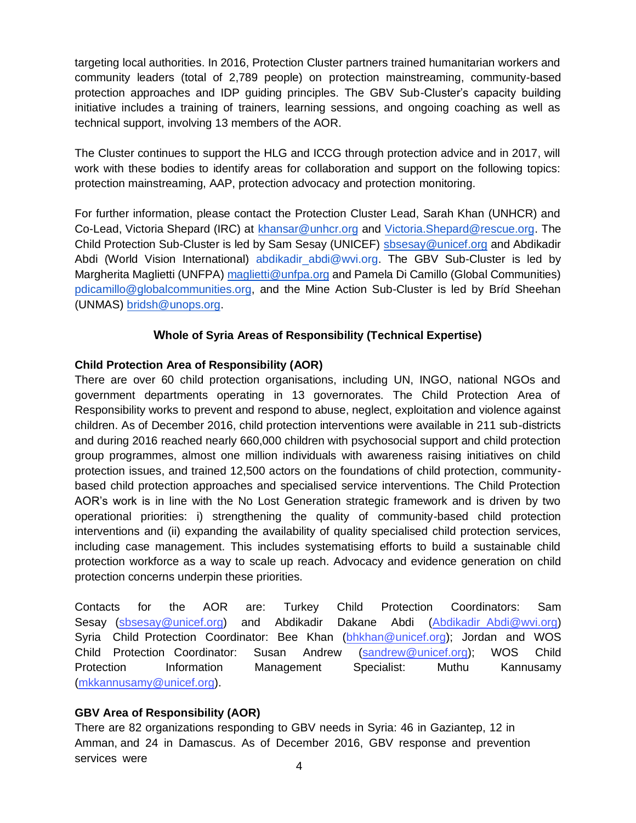targeting local authorities. In 2016, Protection Cluster partners trained humanitarian workers and community leaders (total of 2,789 people) on protection mainstreaming, community-based protection approaches and IDP guiding principles. The GBV Sub-Cluster's capacity building initiative includes a training of trainers, learning sessions, and ongoing coaching as well as technical support, involving 13 members of the AOR.

The Cluster continues to support the HLG and ICCG through protection advice and in 2017, will work with these bodies to identify areas for collaboration and support on the following topics: protection mainstreaming, AAP, protection advocacy and protection monitoring.

For further information, please contact the Protection Cluster Lead, Sarah Khan (UNHCR) and Co-Lead, Victoria Shepard (IRC) at [khansar@unhcr.org](mailto:khansar@unhcr.org) an[d Victoria.Shepard@rescue.org.](mailto:Victoria.Shepard@rescue.org) The Child Protection Sub-Cluster is led by Sam Sesay (UNICEF) [sbsesay@unicef.org](mailto:sbsesay@unicef.org) and Abdikadir Abdi (World Vision International) [abdikadir\\_abdi@wvi.org.](mailto:abdikadir_abdi@wvi.org) The GBV Sub-Cluster is led by Margherita Maglietti (UNFPA) [maglietti@unfpa.org](mailto:maglietti@unfpa.org) and Pamela Di Camillo (Global Communities) [pdicamillo@globalcommunities.org,](mailto:pdicamillo@globalcommunities.org) and the Mine Action Sub-Cluster is led by Bríd Sheehan (UNMAS[\) bridsh@unops.org.](mailto:bridsh@unops.org) 

## **Whole of Syria Areas of Responsibility (Technical Expertise)**

## **Child Protection Area of Responsibility (AOR)**

There are over 60 child protection organisations, including UN, INGO, national NGOs and government departments operating in 13 governorates. The Child Protection Area of Responsibility works to prevent and respond to abuse, neglect, exploitation and violence against children. As of December 2016, child protection interventions were available in 211 sub-districts and during 2016 reached nearly 660,000 children with psychosocial support and child protection group programmes, almost one million individuals with awareness raising initiatives on child protection issues, and trained 12,500 actors on the foundations of child protection, communitybased child protection approaches and specialised service interventions. The Child Protection AOR's work is in line with the No Lost Generation strategic framework and is driven by two operational priorities: i) strengthening the quality of community-based child protection interventions and (ii) expanding the availability of quality specialised child protection services, including case management. This includes systematising efforts to build a sustainable child protection workforce as a way to scale up reach. Advocacy and evidence generation on child protection concerns underpin these priorities.

Contacts for the AOR are: Turkey Child Protection Coordinators: Sam Sesay [\(sbsesay@unicef.org\)](mailto:sbsesay@unicef.org) and Abdikadir Dakane Abdi (Abdikadir Abdi@wvi.org) Syria Child Protection Coordinator: Bee Khan [\(bhkhan@unicef.org\)](mailto:bhkhan@unicef.org); Jordan and WOS Child Protection Coordinator: Susan Andrew [\(sandrew@unicef.org\)](mailto:sandrew@unicef.org); WOS Child Protection Information Management Specialist: Muthu Kannusamy [\(mkkannusamy@unicef.org\)](mailto:mkkannusamy@unicef.org).

## **GBV Area of Responsibility (AOR)**

There are 82 organizations responding to GBV needs in Syria: 46 in Gaziantep, 12 in Amman, and 24 in Damascus. As of December 2016, GBV response and prevention services were